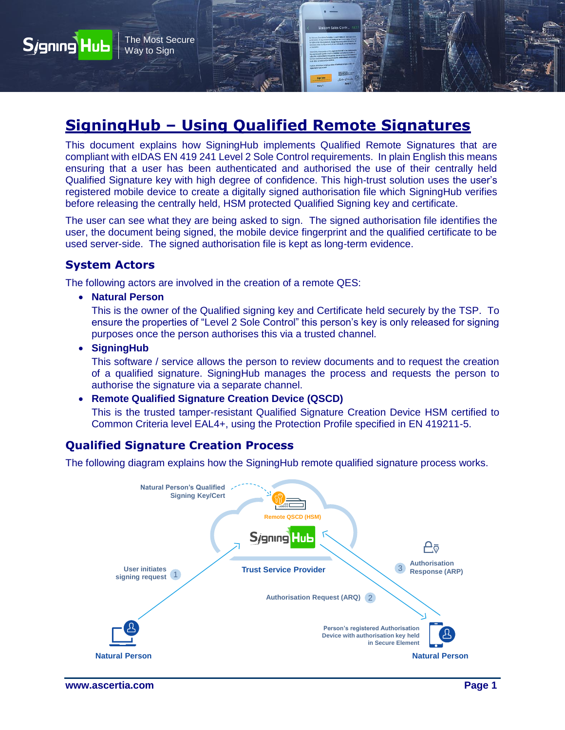

This document explains how SigningHub implements Qualified Remote Signatures that are compliant with eIDAS EN 419 241 Level 2 Sole Control requirements. In plain English this means ensuring that a user has been authenticated and authorised the use of their centrally held Qualified Signature key with high degree of confidence. This high-trust solution uses the user's registered mobile device to create a digitally signed authorisation file which SigningHub verifies before releasing the centrally held, HSM protected Qualified Signing key and certificate.

The user can see what they are being asked to sign. The signed authorisation file identifies the user, the document being signed, the mobile device fingerprint and the qualified certificate to be used server-side. The signed authorisation file is kept as long-term evidence.

### **System Actors**

Sjgning Hub

The following actors are involved in the creation of a remote QES:

**Natural Person**

The Most Secure Way to Sign

This is the owner of the Qualified signing key and Certificate held securely by the TSP. To ensure the properties of "Level 2 Sole Control" this person's key is only released for signing purposes once the person authorises this via a trusted channel.

**SigningHub**

This software / service allows the person to review documents and to request the creation of a qualified signature. SigningHub manages the process and requests the person to authorise the signature via a separate channel.

#### **Remote Qualified Signature Creation Device (QSCD)**

This is the trusted tamper-resistant Qualified Signature Creation Device HSM certified to Common Criteria level EAL4+, using the Protection Profile specified in EN 419211-5.

## **Qualified Signature Creation Process**

The following diagram explains how the SigningHub remote qualified signature process works.

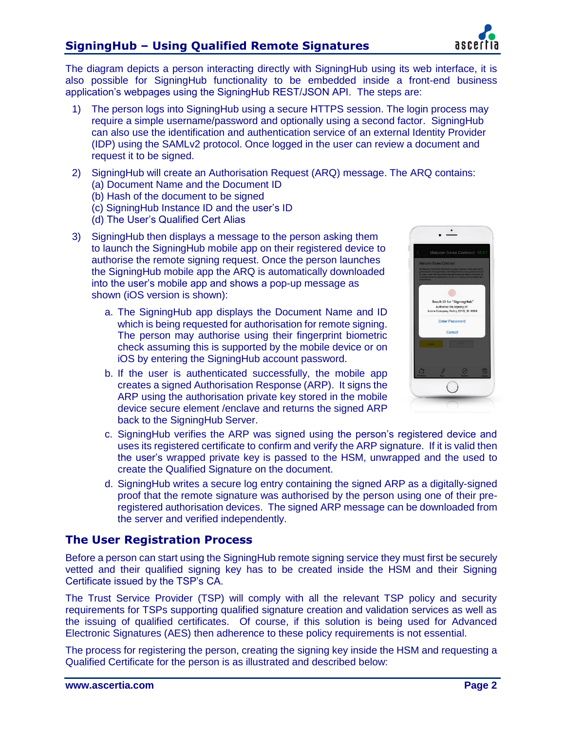

The diagram depicts a person interacting directly with SigningHub using its web interface, it is also possible for SigningHub functionality to be embedded inside a front-end business application's webpages using the SigningHub REST/JSON API. The steps are:

- 1) The person logs into SigningHub using a secure HTTPS session. The login process may require a simple username/password and optionally using a second factor. SigningHub can also use the identification and authentication service of an external Identity Provider (IDP) using the SAMLv2 protocol. Once logged in the user can review a document and request it to be signed.
- 2) SigningHub will create an Authorisation Request (ARQ) message. The ARQ contains: (a) Document Name and the Document ID
	- (b) Hash of the document to be signed
	- (c) SigningHub Instance ID and the user's ID
	- (d) The User's Qualified Cert Alias
- 3) SigningHub then displays a message to the person asking them to launch the SigningHub mobile app on their registered device to authorise the remote signing request. Once the person launches the SigningHub mobile app the ARQ is automatically downloaded into the user's mobile app and shows a pop-up message as shown (iOS version is shown):
	- a. The SigningHub app displays the Document Name and ID which is being requested for authorisation for remote signing. The person may authorise using their fingerprint biometric check assuming this is supported by the mobile device or on iOS by entering the SigningHub account password.
	- b. If the user is authenticated successfully, the mobile app creates a signed Authorisation Response (ARP). It signs the ARP using the authorisation private key stored in the mobile device secure element /enclave and returns the signed ARP back to the SigningHub Server.



- c. SigningHub verifies the ARP was signed using the person's registered device and uses its registered certificate to confirm and verify the ARP signature. If it is valid then the user's wrapped private key is passed to the HSM, unwrapped and the used to create the Qualified Signature on the document.
- d. SigningHub writes a secure log entry containing the signed ARP as a digitally-signed proof that the remote signature was authorised by the person using one of their preregistered authorisation devices. The signed ARP message can be downloaded from the server and verified independently.

### **The User Registration Process**

Before a person can start using the SigningHub remote signing service they must first be securely vetted and their qualified signing key has to be created inside the HSM and their Signing Certificate issued by the TSP's CA.

The Trust Service Provider (TSP) will comply with all the relevant TSP policy and security requirements for TSPs supporting qualified signature creation and validation services as well as the issuing of qualified certificates. Of course, if this solution is being used for Advanced Electronic Signatures (AES) then adherence to these policy requirements is not essential.

The process for registering the person, creating the signing key inside the HSM and requesting a Qualified Certificate for the person is as illustrated and described below: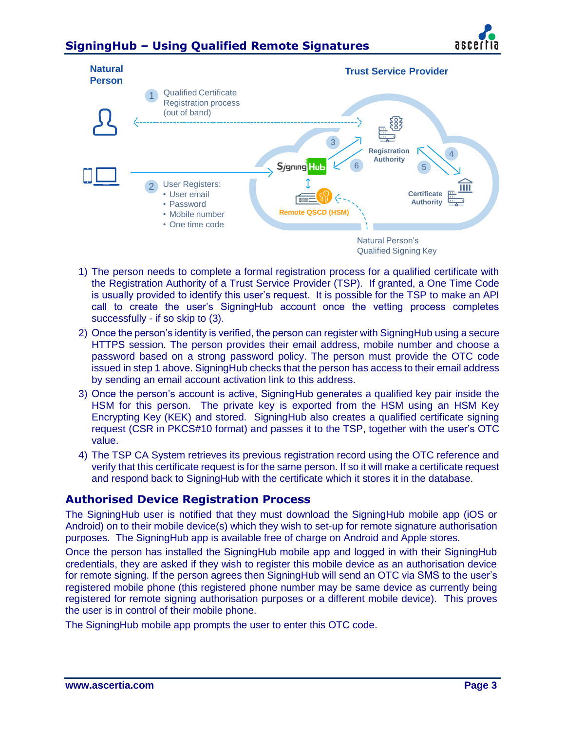# **SigningHub – Using Qualified Remote Signatures**





- 1) The person needs to complete a formal registration process for a qualified certificate with the Registration Authority of a Trust Service Provider (TSP). If granted, a One Time Code is usually provided to identify this user's request. It is possible for the TSP to make an API call to create the user's SigningHub account once the vetting process completes successfully - if so skip to (3).
- 2) Once the person's identity is verified, the person can register with SigningHub using a secure HTTPS session. The person provides their email address, mobile number and choose a password based on a strong password policy. The person must provide the OTC code issued in step 1 above. SigningHub checks that the person has access to their email address by sending an email account activation link to this address.
- 3) Once the person's account is active, SigningHub generates a qualified key pair inside the HSM for this person. The private key is exported from the HSM using an HSM Key Encrypting Key (KEK) and stored. SigningHub also creates a qualified certificate signing request (CSR in PKCS#10 format) and passes it to the TSP, together with the user's OTC value.
- 4) The TSP CA System retrieves its previous registration record using the OTC reference and verify that this certificate request is for the same person. If so it will make a certificate request and respond back to SigningHub with the certificate which it stores it in the database.

### **Authorised Device Registration Process**

The SigningHub user is notified that they must download the SigningHub mobile app (iOS or Android) on to their mobile device(s) which they wish to set-up for remote signature authorisation purposes. The SigningHub app is available free of charge on Android and Apple stores.

Once the person has installed the SigningHub mobile app and logged in with their SigningHub credentials, they are asked if they wish to register this mobile device as an authorisation device for remote signing. If the person agrees then SigningHub will send an OTC via SMS to the user's registered mobile phone (this registered phone number may be same device as currently being registered for remote signing authorisation purposes or a different mobile device). This proves the user is in control of their mobile phone.

The SigningHub mobile app prompts the user to enter this OTC code.